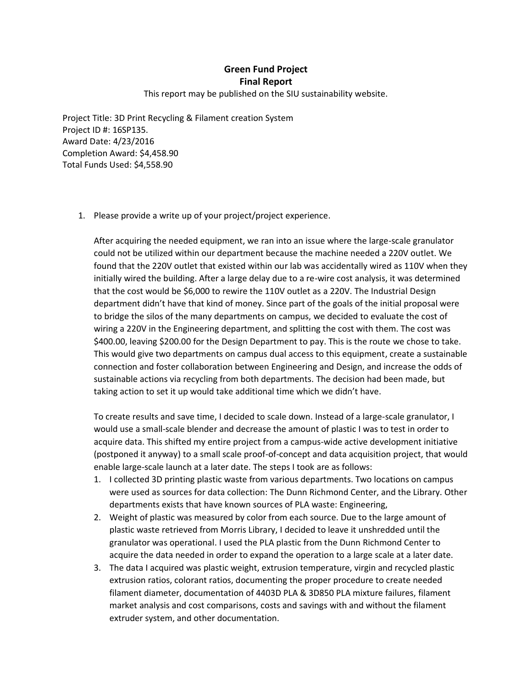## **Green Fund Project Final Report**

## This report may be published on the SIU sustainability website.

Project Title: 3D Print Recycling & Filament creation System Project ID #: 16SP135. Award Date: 4/23/2016 Completion Award: \$4,458.90 Total Funds Used: \$4,558.90

1. Please provide a write up of your project/project experience.

After acquiring the needed equipment, we ran into an issue where the large-scale granulator could not be utilized within our department because the machine needed a 220V outlet. We found that the 220V outlet that existed within our lab was accidentally wired as 110V when they initially wired the building. After a large delay due to a re-wire cost analysis, it was determined that the cost would be \$6,000 to rewire the 110V outlet as a 220V. The Industrial Design department didn't have that kind of money. Since part of the goals of the initial proposal were to bridge the silos of the many departments on campus, we decided to evaluate the cost of wiring a 220V in the Engineering department, and splitting the cost with them. The cost was \$400.00, leaving \$200.00 for the Design Department to pay. This is the route we chose to take. This would give two departments on campus dual access to this equipment, create a sustainable connection and foster collaboration between Engineering and Design, and increase the odds of sustainable actions via recycling from both departments. The decision had been made, but taking action to set it up would take additional time which we didn't have.

To create results and save time, I decided to scale down. Instead of a large-scale granulator, I would use a small-scale blender and decrease the amount of plastic I was to test in order to acquire data. This shifted my entire project from a campus-wide active development initiative (postponed it anyway) to a small scale proof-of-concept and data acquisition project, that would enable large-scale launch at a later date. The steps I took are as follows:

- 1. I collected 3D printing plastic waste from various departments. Two locations on campus were used as sources for data collection: The Dunn Richmond Center, and the Library. Other departments exists that have known sources of PLA waste: Engineering,
- 2. Weight of plastic was measured by color from each source. Due to the large amount of plastic waste retrieved from Morris Library, I decided to leave it unshredded until the granulator was operational. I used the PLA plastic from the Dunn Richmond Center to acquire the data needed in order to expand the operation to a large scale at a later date.
- 3. The data I acquired was plastic weight, extrusion temperature, virgin and recycled plastic extrusion ratios, colorant ratios, documenting the proper procedure to create needed filament diameter, documentation of 4403D PLA & 3D850 PLA mixture failures, filament market analysis and cost comparisons, costs and savings with and without the filament extruder system, and other documentation.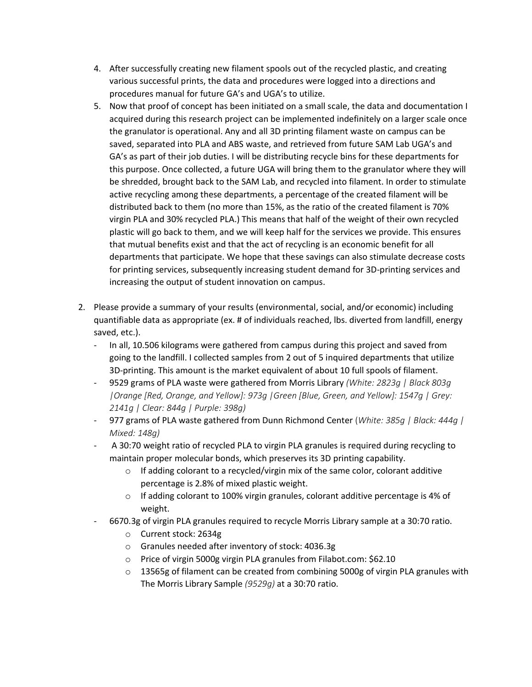- 4. After successfully creating new filament spools out of the recycled plastic, and creating various successful prints, the data and procedures were logged into a directions and procedures manual for future GA's and UGA's to utilize.
- 5. Now that proof of concept has been initiated on a small scale, the data and documentation I acquired during this research project can be implemented indefinitely on a larger scale once the granulator is operational. Any and all 3D printing filament waste on campus can be saved, separated into PLA and ABS waste, and retrieved from future SAM Lab UGA's and GA's as part of their job duties. I will be distributing recycle bins for these departments for this purpose. Once collected, a future UGA will bring them to the granulator where they will be shredded, brought back to the SAM Lab, and recycled into filament. In order to stimulate active recycling among these departments, a percentage of the created filament will be distributed back to them (no more than 15%, as the ratio of the created filament is 70% virgin PLA and 30% recycled PLA.) This means that half of the weight of their own recycled plastic will go back to them, and we will keep half for the services we provide. This ensures that mutual benefits exist and that the act of recycling is an economic benefit for all departments that participate. We hope that these savings can also stimulate decrease costs for printing services, subsequently increasing student demand for 3D-printing services and increasing the output of student innovation on campus.
- 2. Please provide a summary of your results (environmental, social, and/or economic) including quantifiable data as appropriate (ex. # of individuals reached, lbs. diverted from landfill, energy saved, etc.).
	- In all, 10.506 kilograms were gathered from campus during this project and saved from going to the landfill. I collected samples from 2 out of 5 inquired departments that utilize 3D-printing. This amount is the market equivalent of about 10 full spools of filament.
	- 9529 grams of PLA waste were gathered from Morris Library *(White: 2823g | Black 803g |Orange [Red, Orange, and Yellow]: 973g |Green [Blue, Green, and Yellow]: 1547g | Grey: 2141g | Clear: 844g | Purple: 398g)*
	- 977 grams of PLA waste gathered from Dunn Richmond Center (*White: 385g | Black: 444g | Mixed: 148g)*
	- A 30:70 weight ratio of recycled PLA to virgin PLA granules is required during recycling to maintain proper molecular bonds, which preserves its 3D printing capability.
		- $\circ$  If adding colorant to a recycled/virgin mix of the same color, colorant additive percentage is 2.8% of mixed plastic weight.
		- $\circ$  If adding colorant to 100% virgin granules, colorant additive percentage is 4% of weight.
	- 6670.3g of virgin PLA granules required to recycle Morris Library sample at a 30:70 ratio.
		- o Current stock: 2634g
		- o Granules needed after inventory of stock: 4036.3g
		- o Price of virgin 5000g virgin PLA granules from Filabot.com: \$62.10
		- $\circ$  13565g of filament can be created from combining 5000g of virgin PLA granules with The Morris Library Sample *(9529g)* at a 30:70 ratio.